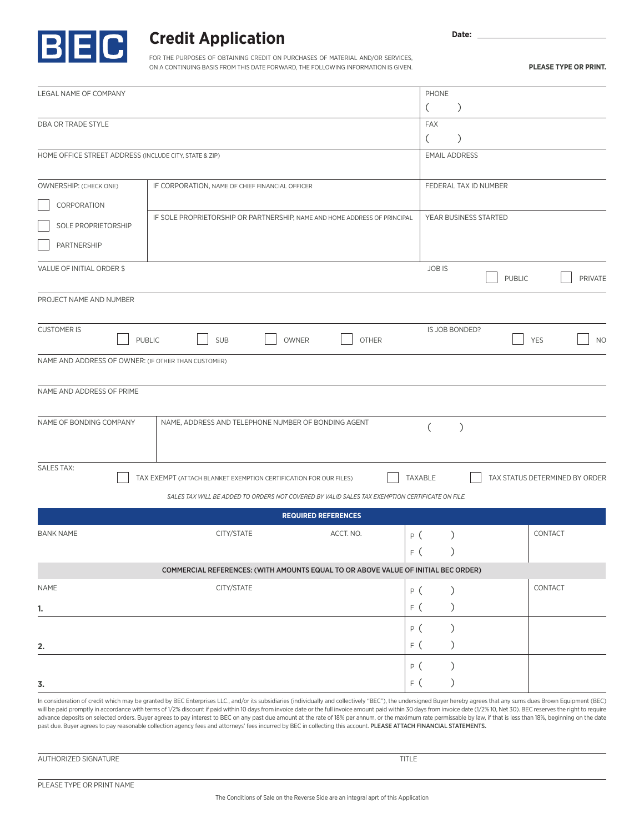

## **Credit Application**

FOR THE PURPOSES OF OBTAINING CREDIT ON PURCHASES OF MATERIAL AND/OR SERVICES, ON A CONTINUING BASIS FROM THIS DATE FORWARD, THE FOLLOWING INFORMATION IS GIVEN. Date: \_

**PLEASE TYPE OR PRINT.**

|                                                        |                                                                                                                                                                                                                                                                                                                                                                                                                                                                                                                                                                                                                                | PHONE                                           |
|--------------------------------------------------------|--------------------------------------------------------------------------------------------------------------------------------------------------------------------------------------------------------------------------------------------------------------------------------------------------------------------------------------------------------------------------------------------------------------------------------------------------------------------------------------------------------------------------------------------------------------------------------------------------------------------------------|-------------------------------------------------|
| LEGAL NAME OF COMPANY                                  |                                                                                                                                                                                                                                                                                                                                                                                                                                                                                                                                                                                                                                | $\mathcal{C}$<br>(                              |
| DBA OR TRADE STYLE                                     |                                                                                                                                                                                                                                                                                                                                                                                                                                                                                                                                                                                                                                | <b>FAX</b>                                      |
|                                                        |                                                                                                                                                                                                                                                                                                                                                                                                                                                                                                                                                                                                                                | (<br>$\mathcal{L}$                              |
| HOME OFFICE STREET ADDRESS (INCLUDE CITY, STATE & ZIP) |                                                                                                                                                                                                                                                                                                                                                                                                                                                                                                                                                                                                                                | <b>EMAIL ADDRESS</b>                            |
|                                                        |                                                                                                                                                                                                                                                                                                                                                                                                                                                                                                                                                                                                                                |                                                 |
| OWNERSHIP: (CHECK ONE)                                 | IF CORPORATION, NAME OF CHIEF FINANCIAL OFFICER                                                                                                                                                                                                                                                                                                                                                                                                                                                                                                                                                                                | FEDERAL TAX ID NUMBER                           |
| CORPORATION                                            |                                                                                                                                                                                                                                                                                                                                                                                                                                                                                                                                                                                                                                |                                                 |
| SOLE PROPRIETORSHIP                                    | IF SOLE PROPRIETORSHIP OR PARTNERSHIP, NAME AND HOME ADDRESS OF PRINCIPAL                                                                                                                                                                                                                                                                                                                                                                                                                                                                                                                                                      | YEAR BUSINESS STARTED                           |
| PARTNERSHIP                                            |                                                                                                                                                                                                                                                                                                                                                                                                                                                                                                                                                                                                                                |                                                 |
| VALUE OF INITIAL ORDER \$                              |                                                                                                                                                                                                                                                                                                                                                                                                                                                                                                                                                                                                                                | <b>JOBIS</b><br><b>PUBLIC</b><br><b>PRIVATE</b> |
| PROJECT NAME AND NUMBER                                |                                                                                                                                                                                                                                                                                                                                                                                                                                                                                                                                                                                                                                |                                                 |
|                                                        |                                                                                                                                                                                                                                                                                                                                                                                                                                                                                                                                                                                                                                |                                                 |
| <b>CUSTOMER IS</b><br><b>PUBLIC</b>                    | <b>SUB</b><br>OWNER<br><b>OTHER</b>                                                                                                                                                                                                                                                                                                                                                                                                                                                                                                                                                                                            | IS JOB BONDED?<br><b>YES</b><br><b>NO</b>       |
| NAME AND ADDRESS OF OWNER: (IF OTHER THAN CUSTOMER)    |                                                                                                                                                                                                                                                                                                                                                                                                                                                                                                                                                                                                                                |                                                 |
| NAME AND ADDRESS OF PRIME                              |                                                                                                                                                                                                                                                                                                                                                                                                                                                                                                                                                                                                                                |                                                 |
|                                                        |                                                                                                                                                                                                                                                                                                                                                                                                                                                                                                                                                                                                                                |                                                 |
| NAME OF BONDING COMPANY                                | NAME, ADDRESS AND TELEPHONE NUMBER OF BONDING AGENT                                                                                                                                                                                                                                                                                                                                                                                                                                                                                                                                                                            | $\left($<br>$\lambda$                           |
| <b>SALES TAX:</b>                                      |                                                                                                                                                                                                                                                                                                                                                                                                                                                                                                                                                                                                                                |                                                 |
|                                                        | TAX EXEMPT (ATTACH BLANKET EXEMPTION CERTIFICATION FOR OUR FILES)                                                                                                                                                                                                                                                                                                                                                                                                                                                                                                                                                              | TAXABLE<br>TAX STATUS DETERMINED BY ORDER       |
|                                                        | SALES TAX WILL BE ADDED TO ORDERS NOT COVERED BY VALID SALES TAX EXEMPTION CERTIFICATE ON FILE.                                                                                                                                                                                                                                                                                                                                                                                                                                                                                                                                |                                                 |
|                                                        | <b>REQUIRED REFERENCES</b>                                                                                                                                                                                                                                                                                                                                                                                                                                                                                                                                                                                                     |                                                 |
| <b>BANK NAME</b>                                       | CITY/STATE<br>ACCT. NO.                                                                                                                                                                                                                                                                                                                                                                                                                                                                                                                                                                                                        | CONTACT<br>P (<br>$\lambda$                     |
|                                                        |                                                                                                                                                                                                                                                                                                                                                                                                                                                                                                                                                                                                                                | F (                                             |
|                                                        | COMMERCIAL REFERENCES: (WITH AMOUNTS EQUAL TO OR ABOVE VALUE OF INITIAL BEC ORDER)                                                                                                                                                                                                                                                                                                                                                                                                                                                                                                                                             |                                                 |
| <b>NAME</b>                                            | CITY/STATE                                                                                                                                                                                                                                                                                                                                                                                                                                                                                                                                                                                                                     | CONTACT<br>)<br>P (                             |
| 1.                                                     |                                                                                                                                                                                                                                                                                                                                                                                                                                                                                                                                                                                                                                | ⟩<br>F(                                         |
|                                                        |                                                                                                                                                                                                                                                                                                                                                                                                                                                                                                                                                                                                                                | )<br>P (                                        |
| 2.                                                     |                                                                                                                                                                                                                                                                                                                                                                                                                                                                                                                                                                                                                                | F(<br>$\mathcal{E}$                             |
|                                                        |                                                                                                                                                                                                                                                                                                                                                                                                                                                                                                                                                                                                                                | $\mathcal{C}^{\prime}$                          |
| 3.                                                     |                                                                                                                                                                                                                                                                                                                                                                                                                                                                                                                                                                                                                                | P (<br>F(                                       |
|                                                        | In consideration of credit which may be granted by BEC Enterprises LLC., and/or its subsidiaries (individually and collectively "BEC"), the undersigned Buyer hereby agrees that any sums dues Brown Equipment (BEC)                                                                                                                                                                                                                                                                                                                                                                                                           |                                                 |
|                                                        | will be paid promptly in accordance with terms of 1/2% discount if paid within 10 days from invoice date or the full invoice amount paid within 30 days from invoice date (1/2% 10, Net 30). BEC reserves the right to require<br>advance deposits on selected orders. Buyer agrees to pay interest to BEC on any past due amount at the rate of 18% per annum, or the maximum rate permissable by law, if that is less than 18%, beginning on the date<br>past due. Buyer agrees to pay reasonable collection agency fees and attorneys' fees incurred by BEC in collecting this account. PLEASE ATTACH FINANCIAL STATEMENTS. |                                                 |

AUTHORIZED SIGNATURE

PLEASE TYPE OR PRINT NAME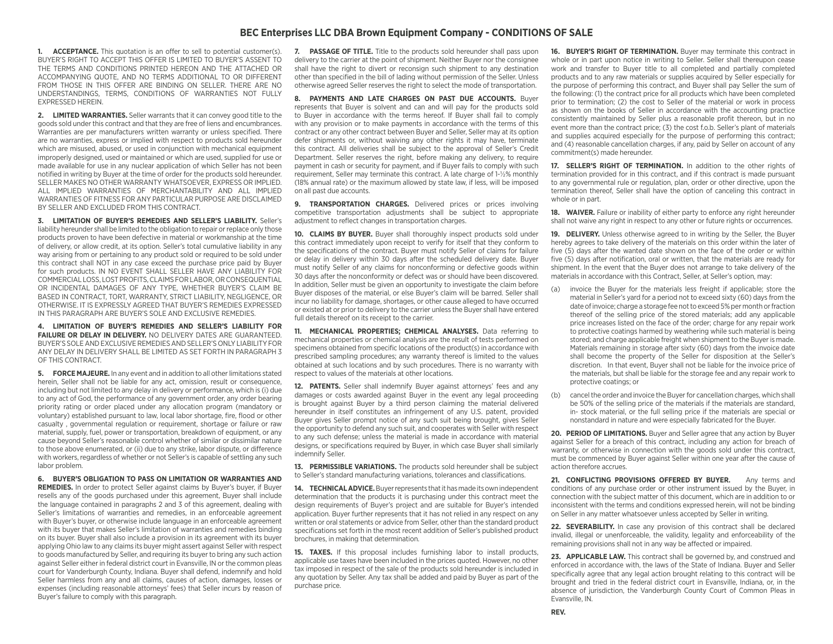## **BEC Enterprises LLC DBA Brown Equipment Company - CONDITIONS OF SALE**

**1. ACCEPTANCE.** This quotation is an offer to sell to potential customer(s). BUYER'S RIGHT TO ACCEPT THIS OFFER IS LIMITED TO BUYER'S ASSENT TO THE TERMS AND CONDITIONS PRINTED HEREON AND THE ATTACHED OR ACCOMPANYING QUOTE, AND NO TERMS ADDITIONAL TO OR DIFFERENT FROM THOSE IN THIS OFFER ARE BINDING ON SELLER. THERE ARE NO UNDERSTANDINGS, TERMS, CONDITIONS OF WARRANTIES NOT FULLY EXPRESSED HEREIN.

**2. LIMITED WARRANTIES.** Seller warrants that it can convey good title to the goods sold under this contract and that they are free of liens and encumbrances. Warranties are per manufacturers written warranty or unless specified. There are no warranties, express or implied with respect to products sold hereunder which are misused, abused, or used in conjunction with mechanical equipment improperly designed, used or maintained or which are used, supplied for use or made available for use in any nuclear application of which Seller has not been notified in writing by Buyer at the time of order for the products sold hereunder. SELLER MAKES NO OTHER WARRANTY WHATSOEVER, EXPRESS OR IMPLIED. ALL IMPLIED WARRANTIES OF MERCHANTABILITY AND ALL IMPLIED WARRANTIES OF FITNESS FOR ANY PARTICULAR PURPOSE ARE DISCLAIMED BY SELLER AND EXCLUDED FROM THIS CONTRACT.

**3. LIMITATION OF BUYER'S REMEDIES AND SELLER'S LIABILITY.** Seller's liability hereunder shall be limited to the obligation to repair or replace only those products proven to have been defective in material or workmanship at the time of delivery, or allow credit, at its option. Seller's total cumulative liability in any way arising from or pertaining to any product sold or required to be sold under this contract shall NOT in any case exceed the purchase price paid by Buyer for such products. IN NO EVENT SHALL SELLER HAVE ANY LIABILITY FOR COMMERCIAL LOSS, LOST PROFITS, CLAIMS FOR LABOR, OR CONSEQUENTIAL OR INCIDENTAL DAMAGES OF ANY TYPE, WHETHER BUYER'S CLAIM BE BASED IN CONTRACT, TORT, WARRANTY, STRICT LIABILITY, NEGLIGENCE, OR OTHERWISE. IT IS EXPRESSLY AGREED THAT BUYER'S REMEDIES EXPRESSED IN THIS PARAGRAPH ARE BUYER'S SOLE AND EXCLUSIVE REMEDIES.

**4. LIMITATION OF BUYER'S REMEDIES AND SELLER'S LIABILITY FOR FAILURE OR DELAY IN DELIVERY.** NO DELIVERY DATES ARE GUARANTEED. BUYER'S SOLE AND EXCLUSIVE REMEDIES AND SELLER'S ONLY LIABILITY FOR ANY DELAY IN DELIVERY SHALL BE LIMITED AS SET FORTH IN PARAGRAPH 3 OF THIS CONTRACT.

**5. FORCE MAJEURE.** In any event and in addition to all other limitations stated herein, Seller shall not be liable for any act, omission, result or consequence, including but not limited to any delay in delivery or performance, which is (i) due to any act of God, the performance of any government order, any order bearing priority rating or order placed under any allocation program (mandatory or voluntary) established pursuant to law, local labor shortage, fire, flood or other casualty , governmental regulation or requirement, shortage or failure or raw material, supply, fuel, power or transportation, breakdown of equipment, or any cause beyond Seller's reasonable control whether of similar or dissimilar nature to those above enumerated, or (ii) due to any strike, labor dispute, or difference with workers, regardless of whether or not Seller's is capable of settling any such labor problem.

**6. BUYER'S OBLIGATION TO PASS ON LIMITATION OR WARRANTIES AND REMEDIES.** In order to protect Seller against claims by Buyer's buyer, if Buyer resells any of the goods purchased under this agreement, Buyer shall include the language contained in paragraphs 2 and 3 of this agreement, dealing with Seller's limitations of warranties and remedies, in an enforceable agreement with Buyer's buyer, or otherwise include language in an enforceable agreement with its buyer that makes Seller's limitation of warranties and remedies binding on its buyer. Buyer shall also include a provision in its agreement with its buyer applying Ohio law to any claims its buyer might assert against Seller with respect to goods manufactured by Seller, and requiring its buyer to bring any such action against Seller either in federal district court in Evansville, IN or the common pleas court for Vanderburgh County, Indiana. Buyer shall defend, indemnify and hold Seller harmless from any and all claims, causes of action, damages, losses or expenses (including reasonable attorneys' fees) that Seller incurs by reason of Buyer's failure to comply with this paragraph.

**7. PASSAGE OF TITLE.** Title to the products sold hereunder shall pass upon delivery to the carrier at the point of shipment. Neither Buyer nor the consignee shall have the right to divert or reconsign such shipment to any destination other than specified in the bill of lading without permission of the Seller. Unless otherwise agreed Seller reserves the right to select the mode of transportation.

**8. PAYMENTS AND LATE CHARGES ON PAST DUE ACCOUNTS.** Buyer represents that Buyer is solvent and can and will pay for the products sold to Buyer in accordance with the terms hereof. If Buyer shall fail to comply with any provision or to make payments in accordance with the terms of this contract or any other contract between Buyer and Seller, Seller may at its option defer shipments or, without waiving any other rights it may have, terminate this contract. All deliveries shall be subject to the approval of Seller's Credit Department. Seller reserves the right, before making any delivery, to require payment in cash or security for payment, and if Buyer fails to comply with such requirement, Seller may terminate this contract. A late charge of 1-½% monthly (18% annual rate) or the maximum allowed by state law, if less, will be imposed on all past due accounts.

**9. TRANSPORTATION CHARGES.** Delivered prices or prices involving competitive transportation adjustments shall be subject to appropriate adjustment to reflect changes in transportation charges.

**10. CLAIMS BY BUYER.** Buyer shall thoroughly inspect products sold under this contract immediately upon receipt to verify for itself that they conform to the specifications of the contract. Buyer must notify Seller of claims for failure or delay in delivery within 30 days after the scheduled delivery date. Buyer must notify Seller of any claims for nonconforming or defective goods within 30 days after the nonconformity or defect was or should have been discovered. In addition, Seller must be given an opportunity to investigate the claim before Buyer disposes of the material, or else Buyer's claim will be barred. Seller shall incur no liability for damage, shortages, or other cause alleged to have occurred or existed at or prior to delivery to the carrier unless the Buyer shall have entered full details thereof on its receipt to the carrier.

**11. MECHANICAL PROPERTIES; CHEMICAL ANALYSES.** Data referring to mechanical properties or chemical analysis are the result of tests performed on specimens obtained from specific locations of the product(s) in accordance with prescribed sampling procedures; any warranty thereof is limited to the values obtained at such locations and by such procedures. There is no warranty with respect to values of the materials at other locations.

**12. PATENTS.** Seller shall indemnify Buyer against attorneys' fees and any damages or costs awarded against Buyer in the event any legal proceeding is brought against Buyer by a third person claiming the material delivered hereunder in itself constitutes an infringement of any U.S. patent, provided Buyer gives Seller prompt notice of any such suit being brought, gives Seller the opportunity to defend any such suit, and cooperates with Seller with respect to any such defense; unless the material is made in accordance with material designs, or specifications required by Buyer, in which case Buyer shall similarly indemnify Seller.

**13. PERMISSIBLE VARIATIONS.** The products sold hereunder shall be subject to Seller's standard manufacturing variations, tolerances and classifications.

**14. TECHNICAL ADVICE.** Buyer represents that it has made its own independent determination that the products it is purchasing under this contract meet the design requirements of Buyer's project and are suitable for Buyer's intended application. Buyer further represents that it has not relied in any respect on any written or oral statements or advice from Seller, other than the standard product specifications set forth in the most recent addition of Seller's published product brochures, in making that determination.

**15. TAXES.** If this proposal includes furnishing labor to install products, applicable use taxes have been included in the prices quoted. However, no other tax imposed in respect of the sale of the products sold hereunder is included in any quotation by Seller. Any tax shall be added and paid by Buyer as part of the purchase price.

**16. BUYER'S RIGHT OF TERMINATION.** Buyer may terminate this contract in whole or in part upon notice in writing to Seller. Seller shall thereupon cease work and transfer to Buyer title to all completed and partially completed products and to any raw materials or supplies acquired by Seller especially for the purpose of performing this contract, and Buyer shall pay Seller the sum of the following: (1) the contract price for all products which have been completed prior to termination; (2) the cost to Seller of the material or work in process as shown on the books of Seller in accordance with the accounting practice consistently maintained by Seller plus a reasonable profit thereon, but in no event more than the contract price; (3) the cost f.o.b. Seller's plant of materials and supplies acquired especially for the purpose of performing this contract; and (4) reasonable cancellation charges, if any, paid by Seller on account of any commitment(s) made hereunder.

**17. SELLER'S RIGHT OF TERMINATION.** In addition to the other rights of termination provided for in this contract, and if this contract is made pursuant to any governmental rule or regulation, plan, order or other directive, upon the termination thereof, Seller shall have the option of canceling this contract in whole or in part.

**18. WAIVER.** Failure or inability of either party to enforce any right hereunder shall not waive any right in respect to any other or future rights or occurrences.

**19. DELIVERY.** Unless otherwise agreed to in writing by the Seller, the Buyer hereby agrees to take delivery of the materials on this order within the later of five (5) days after the wanted date shown on the face of the order or within five (5) days after notification, oral or written, that the materials are ready for shipment. In the event that the Buyer does not arrange to take delivery of the materials in accordance with this Contract, Seller, at Seller's option, may:

- (a) invoice the Buyer for the materials less freight if applicable; store the material in Seller's yard for a period not to exceed sixty (60) days from the date of invoice; charge a storage fee not to exceed 5% per month or fraction thereof of the selling price of the stored materials; add any applicable price increases listed on the face of the order; charge for any repair work to protective coatings harmed by weathering while such material is being stored; and charge applicable freight when shipment to the Buyer is made. Materials remaining in storage after sixty (60) days from the invoice date shall become the property of the Seller for disposition at the Seller's discretion. In that event, Buyer shall not be liable for the invoice price of the materials, but shall be liable for the storage fee and any repair work to protective coatings; or
- (b) cancel the order and invoice the Buyer for cancellation charges, which shall be 50% of the selling price of the materials if the materials are standard, in- stock material, or the full selling price if the materials are special or nonstandard in nature and were especially fabricated for the Buyer.

**20. PERIOD OF LIMITATIONS.** Buyer and Seller agree that any action by Buyer against Seller for a breach of this contract, including any action for breach of warranty, or otherwise in connection with the goods sold under this contract, must be commenced by Buyer against Seller within one year after the cause of action therefore accrues.

**21. CONFLICTING PROVISIONS OFFERED BY BUYER.** Any terms and conditions of any purchase order or other instrument issued by the Buyer, in connection with the subject matter of this document, which are in addition to or inconsistent with the terms and conditions expressed herein, will not be binding on Seller in any matter whatsoever unless accepted by Seller in writing.

**22. SEVERABILITY.** In case any provision of this contract shall be declared invalid, illegal or unenforceable, the validity, legality and enforceability of the remaining provisions shall not in any way be affected or impaired.

**23. APPLICABLE LAW.** This contract shall be governed by, and construed and enforced in accordance with, the laws of the State of Indiana. Buyer and Seller specifically agree that any legal action brought relating to this contract will be brought and tried in the federal district court in Evansville, Indiana, or, in the absence of jurisdiction, the Vanderburgh County Court of Common Pleas in Evansville, IN.